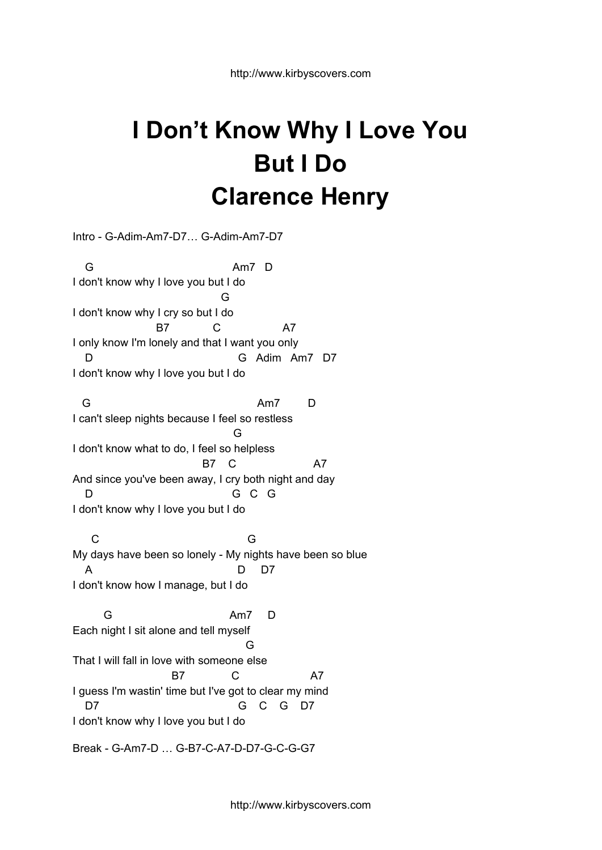## **I Don't Know Why I Love You But I Do Clarence Henry**

Intro - G-Adim-Am7-D7… G-Adim-Am7-D7 G Am7 D I don't know why I love you but I do G I don't know why I cry so but I do B7 C A7 I only know I'm lonely and that I want you only G Adim Am7 D7 I don't know why I love you but I do G Am7 D I can't sleep nights because I feel so restless G I don't know what to do, I feel so helpless B7 C A7 And since you've been away, I cry both night and day D G C G I don't know why I love you but I do C<sub>3</sub> G<sup>3</sup> My days have been so lonely - My nights have been so blue A D D7 I don't know how I manage, but I do G Am7 D Each night I sit alone and tell myself G That I will fall in love with someone else B7 C A7 I guess I'm wastin' time but I've got to clear my mind D7 G C G D7

I don't know why I love you but I do

Break - G-Am7-D … G-B7-C-A7-D-D7-G-C-G-G7